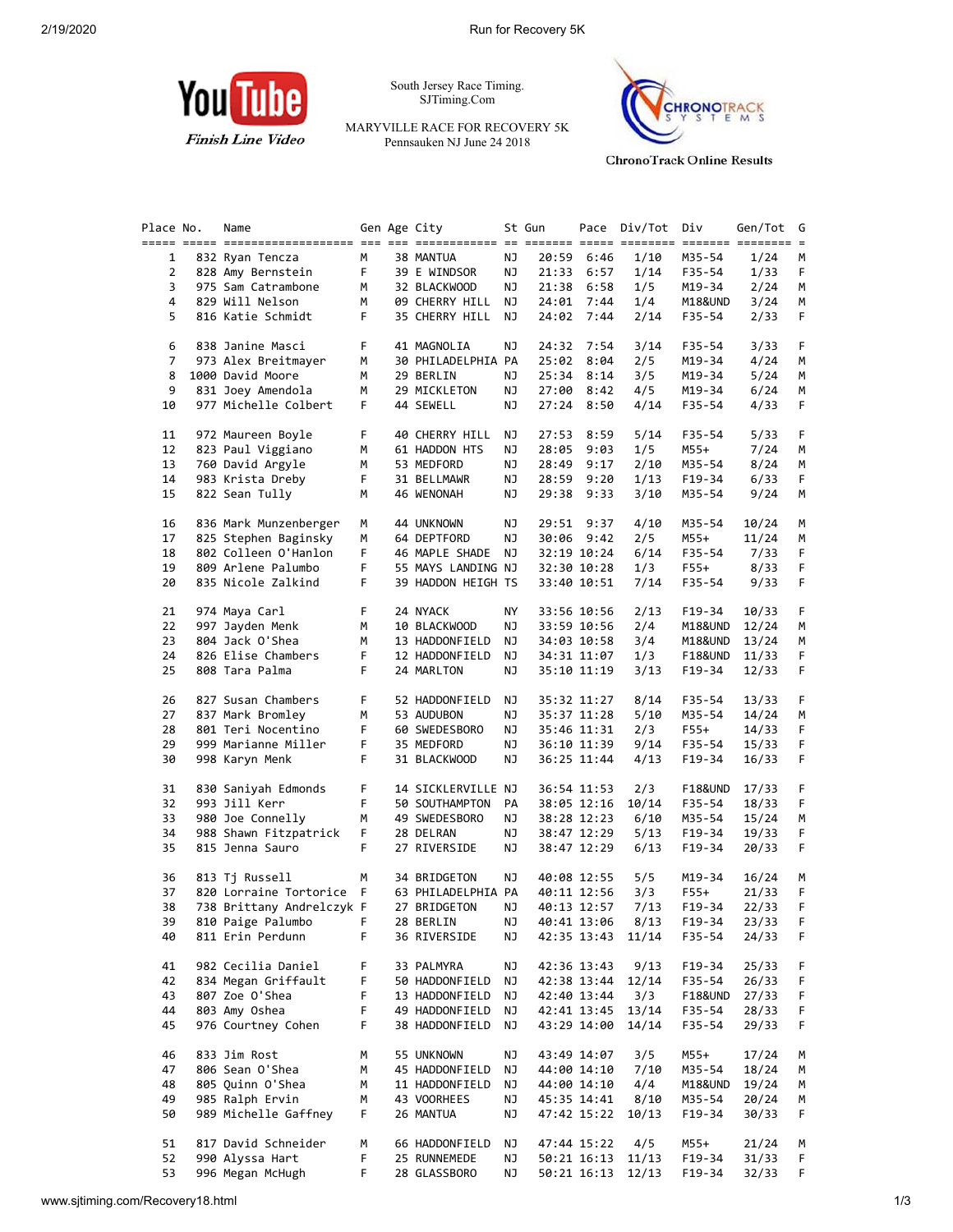

South Jersey Race Timing. SJTiming.Com

MARYVILLE RACE FOR RECOVERY 5K Pennsauken NJ June 24 2018



**ChronoTrack Online Results** 

| Place No.      | Name                      |    | Gen Age City       |    | St Gun |             | Pace Div/Tot     | Div                | Gen/Tot | G  |
|----------------|---------------------------|----|--------------------|----|--------|-------------|------------------|--------------------|---------|----|
|                |                           |    |                    |    |        |             |                  |                    |         |    |
| 1              | 832 Ryan Tencza           | М  | 38 MANTUA          | ΝJ |        | 20:59 6:46  | 1/10             | M35-54             | 1/24    | м  |
| $\overline{2}$ | 828 Amy Bernstein         | F. | 39 E WINDSOR       | ΝJ | 21:33  | 6:57        | 1/14             | F35-54             | 1/33    | F. |
| 3              | 975 Sam Catrambone        | M  | 32 BLACKWOOD       | ΝJ |        | 21:38 6:58  | 1/5              | M19-34             | 2/24    | М  |
| 4              | 829 Will Nelson           | М  | 09 CHERRY HILL NJ  |    |        | 24:01 7:44  | 1/4              | M18&UND            | 3/24    | М  |
| 5              | 816 Katie Schmidt         | F. | 35 CHERRY HILL NJ  |    |        | 24:02 7:44  | 2/14             | F35-54             | 2/33    | F. |
| 6              | 838 Janine Masci          | F. | 41 MAGNOLIA        | ΝJ |        | 24:32 7:54  | 3/14             | F35-54             | 3/33    | F. |
| 7              | 973 Alex Breitmayer       | м  | 30 PHILADELPHIA PA |    | 25:02  | 8:04        | 2/5              | M19-34             | 4/24    | М  |
| 8              | 1000 David Moore          | M  | 29 BERLIN          | ΝJ | 25:34  | 8:14        | 3/5              | M19-34             | 5/24    | М  |
| 9              | 831 Joey Amendola         | М  | 29 MICKLETON       | ΝJ |        | 27:00 8:42  | 4/5              | M19-34             | 6/24    | М  |
| 10             | 977 Michelle Colbert      | F. | 44 SEWELL          | ΝJ |        | 27:24 8:50  | 4/14             | F35-54             | 4/33    | F. |
|                |                           |    |                    |    |        |             |                  |                    |         |    |
| 11             | 972 Maureen Boyle         | F  | 40 CHERRY HILL     | ΝJ | 27:53  | 8:59        | 5/14             | F35-54             | 5/33    | F. |
| 12             | 823 Paul Viggiano         | М  | 61 HADDON HTS      | ΝJ | 28:05  | 9:03        | 1/5              | M55+               | 7/24    | M  |
| 13             | 760 David Argyle          | M  | 53 MEDFORD         | ΝJ | 28:49  | 9:17        | 2/10             | M35-54             | 8/24    | М  |
| 14             | 983 Krista Dreby          | F  | 31 BELLMAWR        | ΝJ |        | 28:59 9:20  | 1/13             | F19-34             | 6/33    | F. |
| 15             | 822 Sean Tully            | М  | 46 WENONAH         | ΝJ |        | 29:38 9:33  | 3/10             | M35-54             | 9/24    | М  |
|                |                           |    |                    |    |        |             |                  |                    |         |    |
| 16             | 836 Mark Munzenberger     | М  | 44 UNKNOWN         | ΝJ |        | 29:51 9:37  | 4/10             | M35-54             | 10/24   | M  |
| 17             | 825 Stephen Baginsky      | М  | 64 DEPTFORD        | ΝJ |        | 30:06 9:42  | 2/5              | M55+               | 11/24   | М  |
| 18             | 802 Colleen O'Hanlon      | F. | 46 MAPLE SHADE     | ΝJ |        | 32:19 10:24 | 6/14             | F35-54             | 7/33    | F. |
| 19             | 809 Arlene Palumbo        | F  | 55 MAYS LANDING NJ |    |        | 32:30 10:28 | 1/3              | $F55+$             | 8/33    | F. |
| 20             | 835 Nicole Zalkind        | F. | 39 HADDON HEIGH TS |    |        | 33:40 10:51 | 7/14             | F35-54             | 9/33    | F. |
|                |                           |    |                    |    |        |             |                  |                    |         |    |
| 21             | 974 Maya Carl             | F. | 24 NYACK           | ΝY |        | 33:56 10:56 | 2/13             | F19-34             | 10/33   | F. |
| 22             | 997 Jayden Menk           | М  | 10 BLACKWOOD       | ΝJ |        | 33:59 10:56 | 2/4              | M18&UND            | 12/24   | М  |
| 23             | 804 Jack O'Shea           | М  | 13 HADDONFIELD     | NJ |        | 34:03 10:58 | 3/4              | M18&UND            | 13/24   | М  |
| 24             | 826 Elise Chambers        | F  | 12 HADDONFIELD     | ΝJ |        | 34:31 11:07 | 1/3              | <b>F18&amp;UND</b> | 11/33   | F. |
| 25             | 808 Tara Palma            | F. | 24 MARLTON         | ΝJ |        | 35:10 11:19 | 3/13             | F19-34             | 12/33   | F. |
| 26             | 827 Susan Chambers        | F. | 52 HADDONFIELD     | ΝJ |        | 35:32 11:27 | 8/14             | F35-54             | 13/33   | F. |
| 27             | 837 Mark Bromley          | М  | 53 AUDUBON         | ΝJ |        |             | 5/10             | M35-54             | 14/24   | М  |
|                |                           |    |                    |    |        | 35:37 11:28 |                  |                    |         |    |
| 28             | 801 Teri Nocentino        | F  | 60 SWEDESBORO      | ΝJ |        | 35:46 11:31 | 2/3              | F55+               | 14/33   | F  |
| 29             | 999 Marianne Miller       | F  | 35 MEDFORD         | ΝJ |        | 36:10 11:39 | 9/14             | F35-54             | 15/33   | F. |
| 30             | 998 Karyn Menk            | F  | 31 BLACKWOOD       | ΝJ |        | 36:25 11:44 | 4/13             | F19-34             | 16/33   | F. |
| 31             | 830 Saniyah Edmonds       | F  | 14 SICKLERVILLE NJ |    |        | 36:54 11:53 | 2/3              | F18&UND            | 17/33   | F  |
| 32             | 993 Jill Kerr             | F  | 50 SOUTHAMPTON     | PA |        | 38:05 12:16 | 10/14            | F35-54             | 18/33   | F. |
| 33             | 980 Joe Connelly          | М  | 49 SWEDESBORO      | ΝJ |        | 38:28 12:23 | 6/10             | M35-54             | 15/24   | М  |
| 34             | 988 Shawn Fitzpatrick     | F  | 28 DELRAN          | ΝJ |        | 38:47 12:29 | 5/13             | F19-34             | 19/33   | F. |
| 35             | 815 Jenna Sauro           | F. | 27 RIVERSIDE       | ΝJ |        | 38:47 12:29 | 6/13             | F19-34             | 20/33   | F. |
|                |                           |    |                    |    |        |             |                  |                    |         |    |
| 36             | 813 Tj Russell            | М  | 34 BRIDGETON       | ΝJ |        | 40:08 12:55 | 5/5              | M19-34             | 16/24   | М  |
| 37             | 820 Lorraine Tortorice F  |    | 63 PHILADELPHIA PA |    |        | 40:11 12:56 | 3/3              | F55+               | 21/33   | F  |
| 38             | 738 Brittany Andrelczyk F |    | 27 BRIDGETON       | ΝJ |        | 40:13 12:57 | 7/13             | $F19-34$           | 22/33   | F. |
| 39             | 810 Paige Palumbo F       |    | 28 BERLIN          | NJ |        |             | 40:41 13:06 8/13 | F19-34             | 23/33   | F. |
| 40             | 811 Erin Perdunn          | F. | 36 RIVERSIDE       | ΝJ |        | 42:35 13:43 | 11/14            | F35-54             | 24/33   | F. |
| 41             | 982 Cecilia Daniel        | F  | 33 PALMYRA         | ΝJ |        | 42:36 13:43 | 9/13             | F19-34             | 25/33   | F. |
| 42             | 834 Megan Griffault       | F  | 50 HADDONFIELD     | ΝJ |        | 42:38 13:44 | 12/14            | F35-54             | 26/33   | F  |
| 43             | 807 Zoe O'Shea            | F  | 13 HADDONFIELD     | NJ |        | 42:40 13:44 | 3/3              | F18&UND            | 27/33   | F  |
| 44             | 803 Amy Oshea             | F  | 49 HADDONFIELD     | ΝJ |        | 42:41 13:45 | 13/14            | F35-54             | 28/33   | F  |
| 45             | 976 Courtney Cohen        | F. | 38 HADDONFIELD     | NJ |        | 43:29 14:00 | 14/14            | F35-54             | 29/33   | F. |
|                |                           |    |                    |    |        |             |                  |                    |         |    |
| 46             | 833 Jim Rost              | М  | 55 UNKNOWN         | ΝJ |        | 43:49 14:07 | 3/5              | M55+               | 17/24   | М  |
| 47             | 806 Sean O'Shea           | М  | 45 HADDONFIELD     | ΝJ |        | 44:00 14:10 | 7/10             | M35-54             | 18/24   | M  |
| 48             | 805 Quinn O'Shea          | М  | 11 HADDONFIELD     | ΝJ |        | 44:00 14:10 | 4/4              | M18&UND            | 19/24   | М  |
| 49             | 985 Ralph Ervin           | М  | 43 VOORHEES        | ΝJ |        | 45:35 14:41 | 8/10             | M35-54             | 20/24   | M  |
| 50             | 989 Michelle Gaffney      | F. | 26 MANTUA          | ΝJ |        | 47:42 15:22 | 10/13            | F19-34             | 30/33   | F. |
| 51             | 817 David Schneider       | М  | 66 HADDONFIELD     | ΝJ |        | 47:44 15:22 | 4/5              | M55+               | 21/24   | M  |
| 52             | 990 Alyssa Hart           | F  | 25 RUNNEMEDE       | ΝJ |        | 50:21 16:13 | 11/13            | F19-34             | 31/33   | F. |
| 53             | 996 Megan McHugh          | F. | 28 GLASSBORO       | ΝJ |        | 50:21 16:13 | 12/13            | F19-34             | 32/33   | F. |
|                |                           |    |                    |    |        |             |                  |                    |         |    |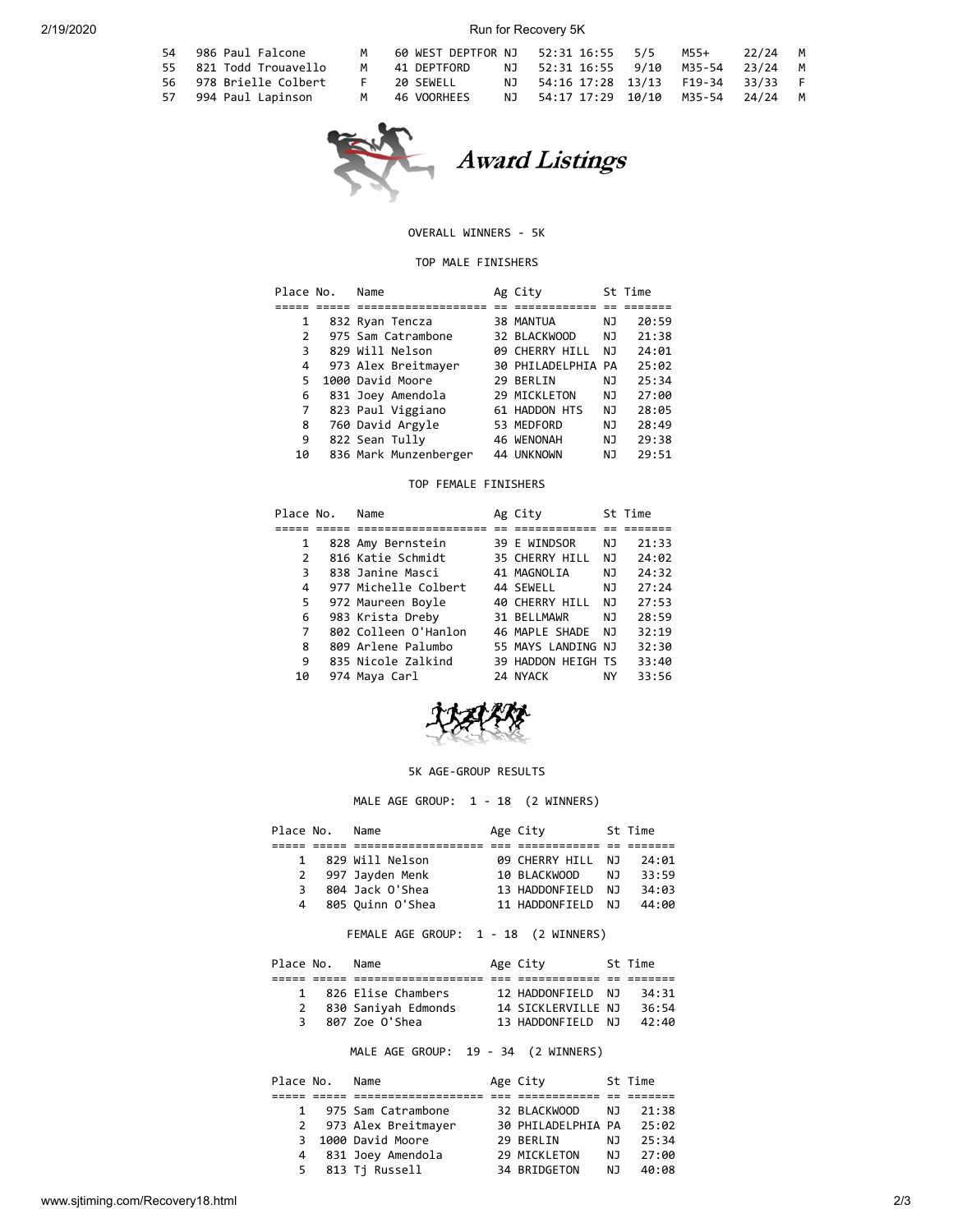#### 2/19/2020 Run for Recovery 5K

| 54 986 Paul Falcone    | M     | 60 WEST DEPTFOR NJ |                                     |  | 22/24 M |  |
|------------------------|-------|--------------------|-------------------------------------|--|---------|--|
| 55 821 Todd Trouavello | м     | 41 DEPTFORD        | NJ 52:31 16:55 9/10 M35-54 23/24 M  |  |         |  |
| 56 978 Brielle Colbert | . For | 20 SEWELL          | NJ 54:16 17:28 13/13 F19-34 33/33 F |  |         |  |
| 57 994 Paul Lapinson   | M     | 46 VOORHEES        | NJ 54:17 17:29 10/10 M35-54 24/24 M |  |         |  |



**Award Listings** 

#### OVERALL WINNERS - 5K

#### TOP MALE FINISHERS

| Place No. | Name                  | Ag City            |    | St Time |
|-----------|-----------------------|--------------------|----|---------|
|           |                       |                    |    |         |
| 1         | 832 Ryan Tencza       | 38 MANTUA          | ΝJ | 20:59   |
| 2         | 975 Sam Catrambone    | 32 BLACKWOOD       | ΝJ | 21:38   |
| 3         | 829 Will Nelson       | 09 CHERRY HILL     | NJ | 24:01   |
| 4         | 973 Alex Breitmayer   | 30 PHILADELPHIA PA |    | 25:02   |
| 5         | 1000 David Moore      | 29 BERLIN          | NJ | 25:34   |
| 6         | 831 Joey Amendola     | 29 MICKLETON       | NJ | 27:00   |
| 7         | 823 Paul Viggiano     | 61 HADDON HTS      | NJ | 28:05   |
| 8         | 760 David Argyle      | 53 MEDFORD         | NJ | 28:49   |
| 9         | 822 Sean Tully        | 46 WENONAH         | NJ | 29:38   |
| 10        | 836 Mark Munzenberger | 44 UNKNOWN         | ΝJ | 29:51   |

#### TOP FEMALE FINISHERS

| Place No.     | Name                 | Ag City            |     | St Time |
|---------------|----------------------|--------------------|-----|---------|
|               |                      |                    |     |         |
| 1             | 828 Amy Bernstein    | 39 E WINDSOR       | NJ  | 21:33   |
| $\mathcal{P}$ | 816 Katie Schmidt    | 35 CHERRY HILL     | NJ. | 24:02   |
| 3             | 838 Janine Masci     | 41 MAGNOLIA        | NJ  | 24:32   |
| 4             | 977 Michelle Colbert | 44 SEWELL          | NJ  | 27:24   |
| 5             | 972 Maureen Boyle    | 40 CHERRY HILL     | NJ  | 27:53   |
| 6             | 983 Krista Dreby     | 31 BELLMAWR        | NJ  | 28:59   |
| 7             | 802 Colleen O'Hanlon | 46 MAPLE SHADE     | NJ  | 32:19   |
| 8             | 809 Arlene Palumbo   | 55 MAYS LANDING NJ |     | 32:30   |
| 9             | 835 Nicole Zalkind   | 39 HADDON HEIGH TS |     | 33:40   |
| 10            | 974 Maya Carl        | 24 NYACK           | NY  | 33:56   |



#### 5K AGE-GROUP RESULTS

MALE AGE GROUP: 1 - 18 (2 WINNERS)

| Place No. | Name             | Age City       |     | St Time |
|-----------|------------------|----------------|-----|---------|
|           |                  |                |     |         |
| 1         | 829 Will Nelson  | 09 CHERRY HILL | N J | 24:01   |
| 2         | 997 Jayden Menk  | 10 BLACKWOOD   | N J | 33:59   |
| 3         | 804 Jack O'Shea  | 13 HADDONFIELD | N J | 34:03   |
| 4         | 805 Ouinn O'Shea | 11 HADDONFIELD | N J | 44:00   |

# FEMALE AGE GROUP: 1 - 18 (2 WINNERS)

| Place No.    | Name                | Age City           | St Time |
|--------------|---------------------|--------------------|---------|
|              |                     |                    |         |
| $\mathbf{1}$ | 826 Elise Chambers  | 12 HADDONFIELD NJ  | 34:31   |
| 2            | 830 Saniyah Edmonds | 14 SICKLERVILLE NJ | 36:54   |
| 3            | 807 Zoe O'Shea      | 13 HADDONFIELD NJ  | 42:40   |
|              |                     |                    |         |

MALE AGE GROUP: 19 - 34 (2 WINNERS)

| Place No.      | Name                  | Age City           |     | St Time |
|----------------|-----------------------|--------------------|-----|---------|
|                |                       |                    |     |         |
| 1              | 975 Sam Catrambone    | 32 BLACKWOOD       | NJ. | 21:38   |
|                | 2 973 Alex Breitmayer | 30 PHILADELPHIA PA |     | 25:02   |
| 3              | 1000 David Moore      | 29 BERLIN          | N J | 25:34   |
| $\overline{4}$ | 831 Joey Amendola     | 29 MICKLETON       | NJ. | 27:00   |
| 5.             | 813 Tj Russell        | 34 BRIDGETON       | N J | 40:08   |